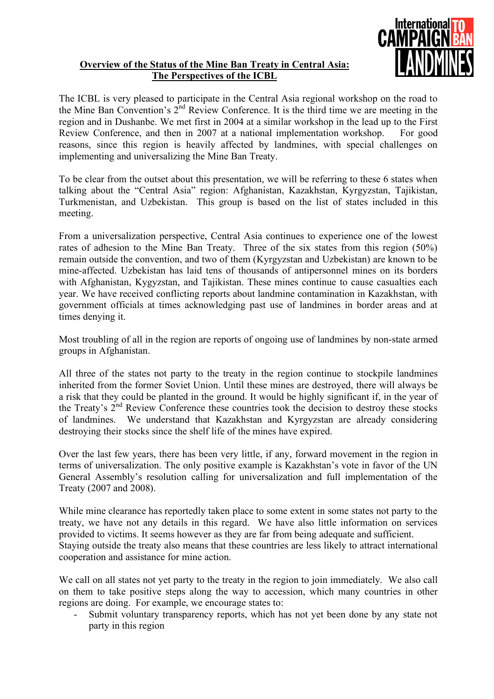## **Overview of the Status of the Mine Ban Treaty in Central Asia: The Perspectives of the ICBL**



The ICBL is very pleased to participate in the Central Asia regional workshop on the road to the Mine Ban Convention's 2nd Review Conference. It is the third time we are meeting in the region and in Dushanbe. We met first in 2004 at a similar workshop in the lead up to the First Review Conference, and then in 2007 at a national implementation workshop. For good reasons, since this region is heavily affected by landmines, with special challenges on implementing and universalizing the Mine Ban Treaty.

To be clear from the outset about this presentation, we will be referring to these 6 states when talking about the "Central Asia" region: Afghanistan, Kazakhstan, Kyrgyzstan, Tajikistan, Turkmenistan, and Uzbekistan. This group is based on the list of states included in this meeting.

From a universalization perspective, Central Asia continues to experience one of the lowest rates of adhesion to the Mine Ban Treaty. Three of the six states from this region (50%) remain outside the convention, and two of them (Kyrgyzstan and Uzbekistan) are known to be mine-affected. Uzbekistan has laid tens of thousands of antipersonnel mines on its borders with Afghanistan, Kygyzstan, and Tajikistan. These mines continue to cause casualties each year. We have received conflicting reports about landmine contamination in Kazakhstan, with government officials at times acknowledging past use of landmines in border areas and at times denying it.

Most troubling of all in the region are reports of ongoing use of landmines by non-state armed groups in Afghanistan.

All three of the states not party to the treaty in the region continue to stockpile landmines inherited from the former Soviet Union. Until these mines are destroyed, there will always be a risk that they could be planted in the ground. It would be highly significant if, in the year of the Treaty's  $2<sup>nd</sup>$  Review Conference these countries took the decision to destroy these stocks of landmines. We understand that Kazakhstan and Kyrgyzstan are already considering destroying their stocks since the shelf life of the mines have expired.

Over the last few years, there has been very little, if any, forward movement in the region in terms of universalization. The only positive example is Kazakhstan's vote in favor of the UN General Assembly's resolution calling for universalization and full implementation of the Treaty (2007 and 2008).

While mine clearance has reportedly taken place to some extent in some states not party to the treaty, we have not any details in this regard. We have also little information on services

We call on all states not yet party to the treaty in the region to join immediately. We also call on them to take positive steps along the way to accession, which many countries in other regions are doing. For example, we encourage states to:

- Submit voluntary transparency reports, which has not yet been done by any state not party in this region
- provided to victims. It seems however as they are far from being adequate and sufficient. Staying outside the treaty also means that these countries are less likely to attract international cooperation and assistance for mine action.